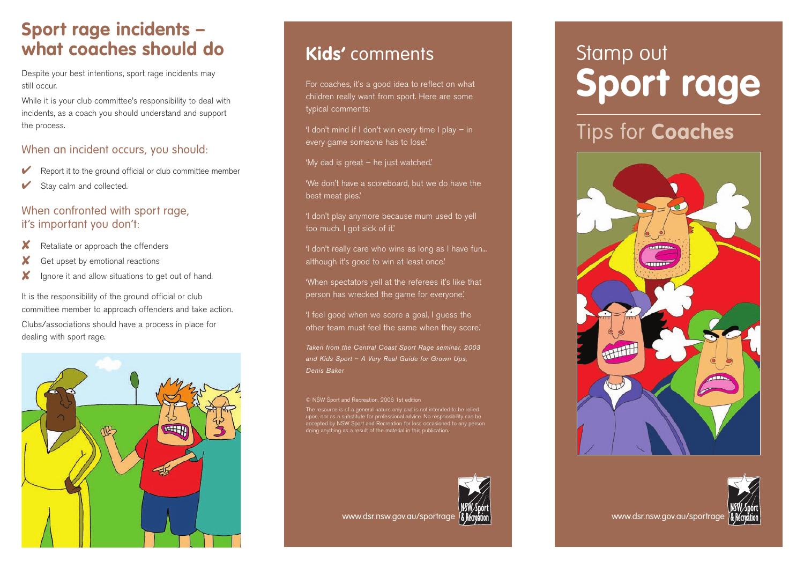# **Sport rage incidents – what coaches should do**

Despite your best intentions, sport rage incidents may still occur.

While it is your club committee's responsibility to deal with incidents, as a coach you should understand and support the process.

## When an incident occurs, you should:

- Report it to the ground official or club committee member
- Stay calm and collected.

### When confronted with sport rage, it's important you don't:

- Retaliate or approach the offenders
- Get upset by emotional reactions
- ✘ Ignore it and allow situations to get out of hand.

It is the responsibility of the ground official or club committee member to approach offenders and take action. Clubs/associations should have a process in place for dealing with sport rage.



# **Kids'** comments

For coaches, it's a good idea to reflect on what children really want from sport. Here are some typical comments:

'I don't mind if I don't win every time I play  $-$  in every game someone has to lose.'

'My dad is great – he just watched.'

'We don't have a scoreboard, but we do have the best meat pies.'

'I don't play anymore because mum used to yell too much. I got sick of it.'

'I don't really care who wins as long as I have fun... although it's good to win at least once.'

'When spectators yell at the referees it's like that person has wrecked the game for everyone.'

'I feel good when we score a goal, I guess the other team must feel the same when they score.'

*Taken from the Central Coast Sport Rage seminar, 2003 and Kids Sport – A Very Real Guide for Grown Ups, Denis Baker*

© NSW Sport and Recreation, 2006 1st edition

The resource is of a general nature only and is not intended to be relied upon, nor as a substitute for professional advice. No responsibility can be accepted by NSW Sport and Recreation for loss occasioned to any person



#### www.dsr.nsw.gov.au/sportrage **/& Remation** and the community of the www.dsr.nsw.gov.au/sportrage www.dsr.nsw.gov

# Stamp out **Sport rage**